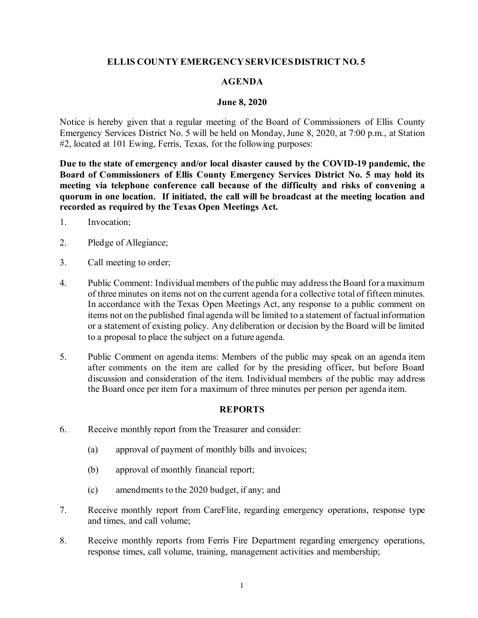## **ELLIS COUNTY EMERGENCY SERVICES DISTRICT NO. 5**

### **AGENDA**

#### **June 8, 2020**

Notice is hereby given that a regular meeting of the Board of Commissioners of Ellis County Emergency Services District No. 5 will be held on Monday, June 8, 2020, at 7:00 p.m., at Station #2, located at 101 Ewing, Ferris, Texas, for the following purposes:

**Due to the state of emergency and/or local disaster caused by the COVID-19 pandemic, the Board of Commissioners of Ellis County Emergency Services District No. 5 may hold its meeting via telephone conference call because of the difficulty and risks of convening a quorum in one location. If initiated, the call will be broadcast at the meeting location and recorded as required by the Texas Open Meetings Act.**

- 1. Invocation;
- 2. Pledge of Allegiance;
- 3. Call meeting to order;
- 4. Public Comment: Individual members of the public may address the Board for a maximum of three minutes on items not on the current agenda for a collective total of fifteen minutes. In accordance with the Texas Open Meetings Act, any response to a public comment on items not on the published final agenda will be limited to a statement of factual information or a statement of existing policy. Any deliberation or decision by the Board will be limited to a proposal to place the subject on a future agenda.
- 5. Public Comment on agenda items: Members of the public may speak on an agenda item after comments on the item are called for by the presiding officer, but before Board discussion and consideration of the item. Individual members of the public may address the Board once per item for a maximum of three minutes per person per agenda item.

## **REPORTS**

- 6. Receive monthly report from the Treasurer and consider:
	- (a) approval of payment of monthly bills and invoices;
	- (b) approval of monthly financial report;
	- (c) amendments to the 2020 budget, if any; and
- 7. Receive monthly report from CareFlite, regarding emergency operations, response type and times, and call volume;
- 8. Receive monthly reports from Ferris Fire Department regarding emergency operations, response times, call volume, training, management activities and membership;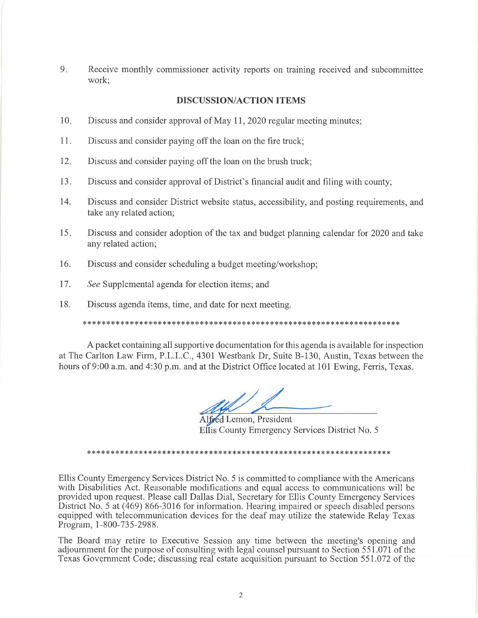9. Receive monthly commissioner activity reports on training received and subcommittee work;

#### **DISCUSSION/ACTION ITEMS**

- $10<sub>1</sub>$ Discuss and consider approval of May 11, 2020 regular meeting minutes;
- $11<sub>v</sub>$ Discuss and consider paying off the loan on the fire truck;
- $12<sub>1</sub>$ Discuss and consider paying off the loan on the brush truck;
- $13.$ Discuss and consider approval of District's financial audit and filing with county;
- 14. Discuss and consider District website status, accessibility, and posting requirements, and take any related action;
- $15.$ Discuss and consider adoption of the tax and budget planning calendar for 2020 and take any related action;
- 16. Discuss and consider scheduling a budget meeting/workshop;
- 17. See Supplemental agenda for election items; and
- 18. Discuss agenda items, time, and date for next meeting.

A packet containing all supportive documentation for this agenda is available for inspection at The Carlton Law Firm, P.L.L.C., 4301 Westbank Dr, Suite B-130, Austin, Texas between the hours of 9:00 a.m. and 4:30 p.m. and at the District Office located at 101 Ewing, Ferris, Texas.

Alfred Lemon, President Ellis County Emergency Services District No. 5

Ellis County Emergency Services District No. 5 is committed to compliance with the Americans with Disabilities Act. Reasonable modifications and equal access to communications will be provided upon request. Please call Dallas Dial, Secretary for Ellis County Emergency Services District No. 5 at (469) 866-3016 for information. Hearing impaired or speech disabled persons equipped with telecommunication devices for the deaf may utilize the statewide Relay Texas Program, 1-800-735-2988.

The Board may retire to Executive Session any time between the meeting's opening and adjournment for the purpose of consulting with legal counsel pursuant to Section 551.071 of the Texas Government Code; discussing real estate acquisition pursuant to Section 551.072 of the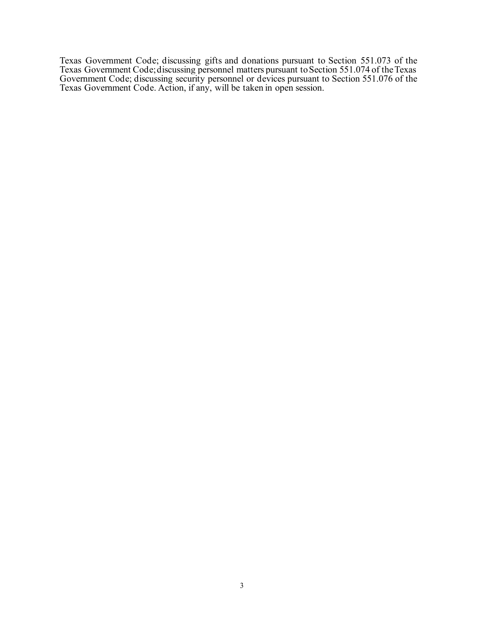Texas Government Code; discussing gifts and donations pursuant to Section 551.073 of the Texas Government Code; discussing personnel matters pursuant to Section 551.074 of the Texas Government Code; discussing security personnel or devices pursuant to Section 551.076 of the Texas Government Code. Action, if any, will be taken in open session.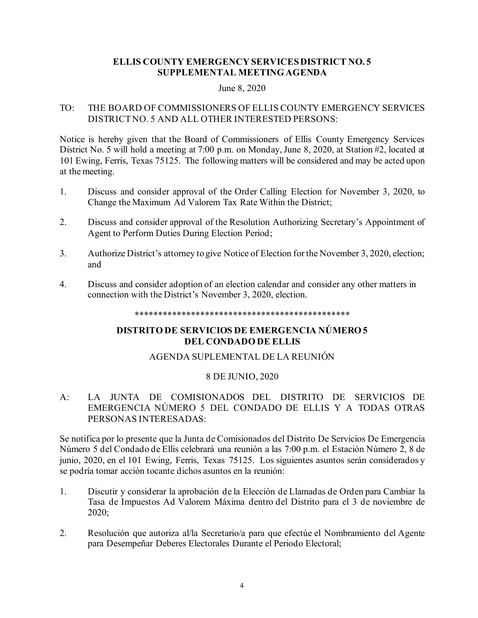## **ELLIS COUNTY EMERGENCY SERVICES DISTRICT NO. 5 SUPPLEMENTAL MEETING AGENDA**

#### June 8, 2020

# TO: THE BOARD OF COMMISSIONERS OF ELLIS COUNTY EMERGENCY SERVICES DISTRICT NO. 5 AND ALL OTHER INTERESTED PERSONS:

Notice is hereby given that the Board of Commissioners of Ellis County Emergency Services District No. 5 will hold a meeting at 7:00 p.m. on Monday, June 8, 2020, at Station #2, located at 101 Ewing, Ferris, Texas 75125. The following matters will be considered and may be acted upon at the meeting.

- 1. Discuss and consider approval of the Order Calling Election for November 3, 2020, to Change the Maximum Ad Valorem Tax Rate Within the District;
- 2. Discuss and consider approval of the Resolution Authorizing Secretary's Appointment of Agent to Perform Duties During Election Period;
- 3. Authorize District's attorney to give Notice of Election for the November 3, 2020, election; and
- 4. Discuss and consider adoption of an election calendar and consider any other matters in connection with the District's November 3, 2020, election.

#### \*\*\*\*\*\*\*\*\*\*\*\*\*\*\*\*\*\*\*\*\*\*\*\*\*\*\*\*\*\*\*\*\*\*\*\*\*\*\*\*\*\*\*\*\*\*

# **DISTRITO DE SERVICIOS DE EMERGENCIA NÚMERO 5 DEL CONDADO DE ELLIS**

# AGENDA SUPLEMENTAL DE LA REUNIÓN

### 8 DE JUNIO, 2020

# A: LA JUNTA DE COMISIONADOS DEL DISTRITO DE SERVICIOS DE EMERGENCIA NÚMERO 5 DEL CONDADO DE ELLIS Y A TODAS OTRAS PERSONAS INTERESADAS:

Se notifica por lo presente que la Junta de Comisionados del Distrito De Servicios De Emergencia Número 5 del Condado de Ellis celebrará una reunión a las 7:00 p.m. el Estación Número 2, 8 de junio, 2020, en el 101 Ewing, Ferris, Texas 75125. Los siguientes asuntos serán considerados y se podría tomar acción tocante dichos asuntos en la reunión:

- 1. Discutir y considerar la aprobación de la Elección de Llamadas de Orden para Cambiar la Tasa de Impuestos Ad Valorem Máxima dentro del Distrito para el 3 de noviembre de 2020;
- 2. Resolución que autoriza al/la Secretario/a para que efectúe el Nombramiento del Agente para Desempeñar Deberes Electorales Durante el Periodo Electoral;